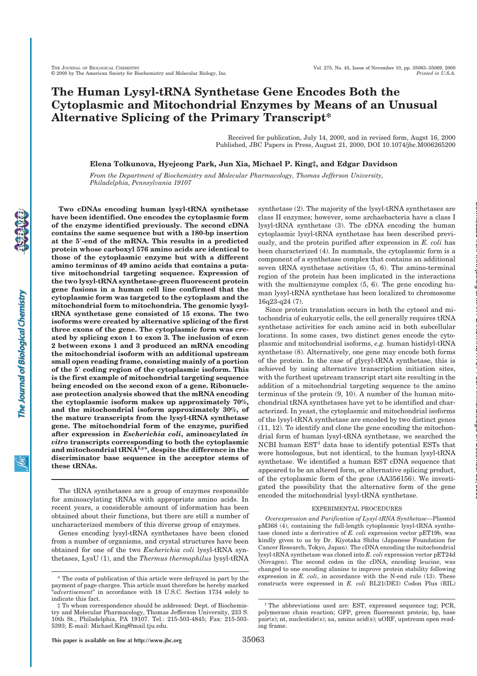# **The Human Lysyl-tRNA Synthetase Gene Encodes Both the Cytoplasmic and Mitochondrial Enzymes by Means of an Unusual Alternative Splicing of the Primary Transcript\***

Received for publication, July 14, 2000, and in revised form, Augst 16, 2000 Published, JBC Papers in Press, August 21, 2000, DOI 10.1074/jbc.M006265200

**Elena Tolkunova, Hyejeong Park, Jun Xia, Michael P. King‡, and Edgar Davidson**

*From the Department of Biochemistry and Molecular Pharmacology, Thomas Jefferson University, Philadelphia, Pennsylvania 19107*

**Two cDNAs encoding human lysyl-tRNA synthetase have been identified. One encodes the cytoplasmic form of the enzyme identified previously. The second cDNA contains the same sequence but with a 180-bp insertion at the 5**!**-end of the mRNA. This results in a predicted protein whose carboxyl 576 amino acids are identical to those of the cytoplasmic enzyme but with a different amino terminus of 49 amino acids that contains a putative mitochondrial targeting sequence. Expression of the two lysyl-tRNA synthetase-green fluorescent protein gene fusions in a human cell line confirmed that the cytoplasmic form was targeted to the cytoplasm and the mitochondrial form to mitochondria. The genomic lysyltRNA synthetase gene consisted of 15 exons. The two isoforms were created by alternative splicing of the first three exons of the gene. The cytoplasmic form was created by splicing exon 1 to exon 3. The inclusion of exon 2 between exons 1 and 3 produced an mRNA encoding the mitochondrial isoform with an additional upstream small open reading frame, consisting mainly of a portion of the 5**! **coding region of the cytoplasmic isoform. This is the first example of mitochondrial targeting sequence being encoded on the second exon of a gene. Ribonuclease protection analysis showed that the mRNA encoding the cytoplasmic isoform makes up approximately 70%, and the mitochondrial isoform approximately 30%, of the mature transcripts from the lysyl-tRNA synthetase gene. The mitochondrial form of the enzyme, purified after expression in** *Escherichia coli***, aminoacylated** *in vitro* **transcripts corresponding to both the cytoplasmic and mitochondrial tRNALys, despite the difference in the discriminator base sequence in the acceptor stems of these tRNAs.**

The tRNA synthetases are a group of enzymes responsible for aminoacylating tRNAs with appropriate amino acids. In recent years, a considerable amount of information has been obtained about their functions, but there are still a number of uncharacterized members of this diverse group of enzymes.

Genes encoding lysyl-tRNA synthetases have been cloned from a number of organisms, and crystal structures have been obtained for one of the two *Escherichia coli* lysyl-tRNA synthetases, LysU (1), and the *Thermus thermophilus* lysyl-tRNA

synthetase (2). The majority of the lysyl-tRNA synthetases are class II enzymes; however, some archaebacteria have a class I lysyl-tRNA synthetase (3). The cDNA encoding the human cytoplasmic lysyl-tRNA synthetase has been described previously, and the protein purified after expression in *E. coli* has been characterized (4). In mammals, the cytoplasmic form is a component of a synthetase complex that contains an additional seven tRNA synthetase activities (5, 6). The amino-terminal region of the protein has been implicated in the interactions with the multienzyme complex (5, 6). The gene encoding human lysyl-tRNA synthetase has been localized to chromosome 16q23-q24 (7).

Since protein translation occurs in both the cytosol and mitochondria of eukaryotic cells, the cell generally requires tRNA synthetase activities for each amino acid in both subcellular locations. In some cases, two distinct genes encode the cytoplasmic and mitochondrial isoforms, *e.g.* human histidyl-tRNA synthetase (8). Alternatively, one gene may encode both forms of the protein. In the case of glycyl-tRNA synthetase, this is achieved by using alternative transcription initiation sites, with the furthest upstream transcript start site resulting in the addition of a mitochondrial targeting sequence to the amino terminus of the protein (9, 10). A number of the human mitochondrial tRNA synthetases have yet to be identified and characterized. In yeast, the cytoplasmic and mitochondrial isoforms of the lysyl-tRNA synthetase are encoded by two distinct genes (11, 12). To identify and clone the gene encoding the mitochondrial form of human lysyl-tRNA synthetase, we searched the  $\rm NCBI$ human $\rm EST^1$  data base to identify potential ESTs that were homologous, but not identical, to the human lysyl-tRNA synthetase. We identified a human EST cDNA sequence that appeared to be an altered form, or alternative splicing product, of the cytoplasmic form of the gene (AA356156). We investigated the possibility that the alternative form of the gene encoded the mitochondrial lysyl-tRNA synthetase.

at MAX PLANCK INSTITUT FUeR Immunbiologie on December 20, 2006 www.jbc.org Downloaded from

## EXPERIMENTAL PROCEDURES

*Overexpression and Purification of Lysyl-tRNA Synthetase—*Plasmid pM368 (4), containing the full-length cytoplasmic lysyl-tRNA synthetase cloned into a derivative of *E. coli* expression vector pET19b, was kindly given to us by Dr. Kiyotaka Shiba (Japanese Foundation for Cancer Research, Tokyo, Japan). The cDNA encoding the mitochondrial lysyl-tRNA synthetase was cloned into *E. coli* expression vector pET24d (Novagen). The second codon in the cDNA, encoding leucine, was changed to one encoding alanine to improve protein stability following expression in *E. coli*, in accordance with the N-end rule (13). These <sup>\*</sup> The costs of publication of this article were defrayed in part by the expression in *E. coli*, in accordance with the N-end rule (13). These varment of page charges This article must therefore be hereby marked constru

payment of page charges. This article must therefore be hereby marked "*advertisement*" in accordance with 18 U.S.C. Section 1734 solely to indicate this fact.

<sup>‡</sup> To whom correspondence should be addressed: Dept. of Biochemistry and Molecular Pharmacology, Thomas Jefferson University, 233 S. 10th St., Philadelphia, PA 19107. Tel.: 215-503-4845; Fax: 215-503- 5393; E-mail: Michael.King@mail.tju.edu.

<sup>&</sup>lt;sup>1</sup> The abbreviations used are: EST, expressed sequence tag; PCR, polymerase chain reaction; GFP, green fluorescent protein; bp, base pair(s); nt, nucleotide(s); aa, amino acid(s); uORF, upstream open reading frame.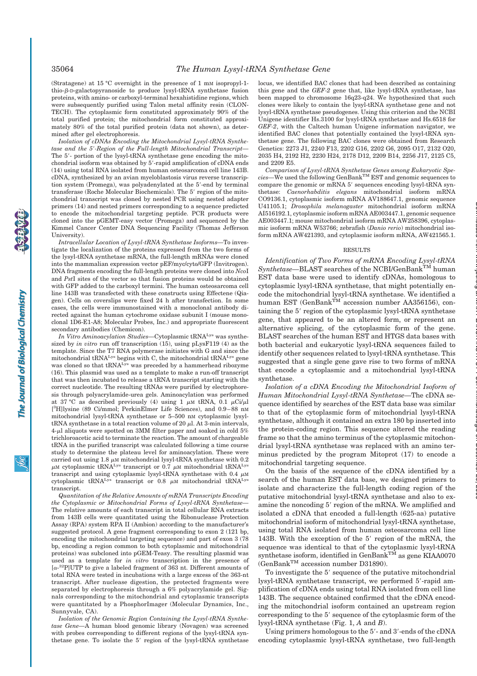(Stratagene) at 15 °C overnight in the presence of 1 mM isopropyl-1 thio- $\beta$ -D-galactopyranoside to produce lysyl-tRNA synthetase fusion proteins, with amino- or carboxyl-terminal hexahistidine regions, which were subsequently purified using Talon metal affinity resin (CLON-TECH). The cytoplasmic form constituted approximately 90% of the total purified protein; the mitochondrial form constituted approximately 80% of the total purified protein (data not shown), as determined after gel electrophoresis.

*Isolation of cDNAs Encoding the Mitochondrial Lysyl-tRNA Synthetase and the 5*!*-Region of the Full-length Mitochondrial Transcript—* The 5'- portion of the lysyl-tRNA synthetase gene encoding the mitochondrial isoform was obtained by 5'-rapid amplification of cDNA ends (14) using total RNA isolated from human osteosarcoma cell line 143B. cDNA, synthesized by an avian myeloblastosis virus reverse transcription system (Promega), was polyadenylated at the 5'-end by terminal transferase (Roche Molecular Biochemicals). The 5' region of the mitochondrial transcript was cloned by nested PCR using nested adapter primers (14) and nested primers corresponding to a sequence predicted to encode the mitochondrial targeting peptide. PCR products were cloned into the pGEMT-easy vector (Promega) and sequenced by the Kimmel Cancer Center DNA Sequencing Facility (Thomas Jefferson University).

*Intracellular Location of Lysyl-tRNA Synthetase Isoforms—*To investigate the localization of the proteins expressed from the two forms of the lysyl-tRNA synthetase mRNA, the full-length mRNAs were cloned into the mammalian expression vector pEF/myc/cyto/GFP (Invitrogen). DNA fragments encoding the full-length proteins were cloned into *Nco*I and *Pst*I sites of the vector so that fusion proteins would be obtained with GFP added to the carboxyl termini. The human osteosarcoma cell line 143B was transfected with these constructs using Effectene (Qiagen). Cells on coverslips were fixed 24 h after transfection. In some cases, the cells were immunostained with a monoclonal antibody directed against the human cytochrome oxidase subunit I (mouse monoclonal 1D6-E1-A8; Molecular Probes, Inc.) and appropriate fluorescent secondary antibodies (Chemicon).

*In Vitro Aminoacylation Studies—*Cytoplasmic tRNALys was synthesized by *in vitro* run off transcription (15), using pLysF119 (4) as the template. Since the T7 RNA polymerase initiates with G and since the mitochondrial tRNALys begins with C, the mitochondrial tRNALys gene was cloned so that  $\text{tRNA}^{\text{Lys}}$  was preceded by a hammerhead ribozyme (16). This plasmid was used as a template to make a run-off transcript that was then incubated to release a tRNA transcript starting with the correct nucleotide. The resulting tRNAs were purified by electrophoresis through polyacrylamide-urea gels. Aminoacylation was performed at 37 °C as described previously (4) using 1  $\mu$ M tRNA, 0.1  $\mu$ Ci/ $\mu$ l [<sup>3</sup>H]lysine (89 Ci/mmol; PerkinElmer Life Sciences), and 0.9-88 nM mitochondrial lysyl-tRNA synthetase or 5–500 nM cytoplasmic lysyltRNA synthetase in a total reaction volume of 20  $\mu$ l. At 3-min intervals, 4- $\mu$ l aliquots were spotted on 3MM filter paper and soaked in cold 5% trichloroacetic acid to terminate the reaction. The amount of chargeable tRNA in the purified transcript was calculated following a time course study to determine the plateau level for aminoacylation. These were carried out using 1.8  $\mu$ M mitochondrial lysyl-tRNA synthetase with 0.2  $\mu$ M cytoplasmic tRNA<sup>Lys</sup> transcript or 0.7  $\mu$ M mitochondrial tRNA<sup>Lys</sup> transcript and using cytoplasmic lysyl-tRNA synthetase with 0.4  $\mu$ M<br>cytoplasmic tRNA<sup>Lys</sup> transcript or 0.8  $\mu$ M mitochondrial tRNA<sup>Lys</sup> transcript.

*Quantitation of the Relative Amounts of mRNA Transcripts Encoding the Cytoplasmic or Mitochondrial Forms of Lysyl-tRNA Synthetase—* The relative amounts of each transcript in total cellular RNA extracts from 143B cells were quantitated using the Ribonuclease Protection Assay (RPA) system RPA II (Ambion) according to the manufacturer's suggested protocol. A gene fragment corresponding to exon 2 (121 bp, encoding the mitochondrial targeting sequence) and part of exon 3 (78 bp, encoding a region common to both cytoplasmic and mitochondrial proteins) was subcloned into pGEM-Teasy. The resulting plasmid was used as a template for *in vitro* transcription in the presence of  $[\alpha^{-32}P]$ UTP to give a labeled fragment of 363 nt. Different amounts of total RNA were tested in incubations with a large excess of the 363-nt transcript. After nuclease digestion, the protected fragments were separated by electrophoresis through a 6% polyacrylamide gel. Signals corresponding to the mitochondrial and cytoplasmic transcripts were quantitated by a PhosphorImager (Molecular Dynamics, Inc., Sunnyvale, CA).

*Isolation of the Genomic Region Containing the Lysyl-tRNA Synthetase Gene—*A human blood genomic library (Novagen) was screened with probes corresponding to different regions of the lysyl-tRNA synthetase gene. To isolate the 5' region of the lysyl-tRNA synthetase locus, we identified BAC clones that had been described as containing this gene and the *GEF-2* gene that, like lysyl-tRNA synthetase, has been mapped to chromosome 16q23-q24. We hypothesized that such clones were likely to contain the lysyl-tRNA synthetase gene and not lysyl-tRNA synthetase pseudogenes. Using this criterion and the NCBI Unigene identifier Hs.3100 for lysyl-tRNA synthetase and Hs.6518 for *GEF-2*, with the Caltech human Unigene information navigator, we identified BAC clones that potentially contained the lysyl-tRNA synthetase gene. The following BAC clones were obtained from Research Genetics: 2273 J1, 2240 F13, 2202 G16, 2202 G6, 2095 O17, 2132 O20, 2035 H4, 2192 H2, 2230 H24, 2178 D12, 2209 B14, 2256 J17, 2125 C5, and 2209 E5.

*Comparison of Lysyl-tRNA Synthetase Genes among Eukaryotic Species—*We used the following GenBankTM EST and genomic sequences to compare the genomic or mRNA 5' sequences encoding lysyl-tRNA synthetase: *Caenorhabditis elegans* mitochondrial isoform mRNA CO9136.1, cytoplasmic isoform mRNA AV188647.1, genomic sequence U41105.1; *Drosophila melanogaster* mitochondrial isoform mRNA AI516192.1, cytoplasmic isoform mRNA AE003447.1, genomic sequence AE003447.1; mouse mitochondrial isoform mRNA AW258396, cytoplasmic isoform mRNA W53766; zebrafish (*Danio rerio*) mitochondrial isoform mRNA AW421393, and cytoplasmic isoform mRNA, AW421565.1.

### RESULTS

*Identification of Two Forms of mRNA Encoding Lysyl-tRNA*  $Synthetase-BLAST$  searches of the NCBI/GenBank<sup>TM</sup> human EST data base were used to identify cDNAs, homologous to cytoplasmic lysyl-tRNA synthetase, that might potentially encode the mitochondrial lysyl-tRNA synthetase. We identified a human EST (GenBank<sup>TM</sup> accession number AA356156), containing the 5' region of the cytoplasmic lysyl-tRNA synthetase gene, that appeared to be an altered form, or represent an alternative splicing, of the cytoplasmic form of the gene. BLAST searches of the human EST and HTGS data bases with both bacterial and eukaryotic lysyl-tRNA sequences failed to identify other sequences related to lysyl-tRNA synthetase. This suggested that a single gene gave rise to two forms of mRNA that encode a cytoplasmic and a mitochondrial lysyl-tRNA synthetase.

*Isolation of a cDNA Encoding the Mitochondrial Isoform of Human Mitochondrial Lysyl-tRNA Synthetase—*The cDNA sequence identified by searches of the EST data base was similar to that of the cytoplasmic form of mitochondrial lysyl-tRNA synthetase, although it contained an extra 180 bp inserted into the protein-coding region. This sequence altered the reading frame so that the amino terminus of the cytoplasmic mitochondrial lysyl-tRNA synthetase was replaced with an amino terminus predicted by the program Mitoprot (17) to encode a mitochondrial targeting sequence.

On the basis of the sequence of the cDNA identified by a search of the human EST data base, we designed primers to isolate and characterize the full-length coding region of the putative mitochondrial lysyl-tRNA synthetase and also to examine the noncoding 5' region of the mRNA. We amplified and isolated a cDNA that encoded a full-length (625-aa) putative mitochondrial isoform of mitochondrial lysyl-tRNA synthetase, using total RNA isolated from human osteosarcoma cell line 143B. With the exception of the 5' region of the mRNA, the sequence was identical to that of the cytoplasmic lysyl-tRNA synthetase isoform, identified in GenBank<sup>TM</sup> as gene KIAA0070 (GenBankTM accession number D31890).

To investigate the 5' sequence of the putative mitochondrial lysyl-tRNA synthetase transcript, we performed 5'-rapid amplification of cDNA ends using total RNA isolated from cell line 143B. The sequence obtained confirmed that the cDNA encoding the mitochondrial isoform contained an upstream region corresponding to the 5' sequence of the cytoplasmic form of the lysyl-tRNA synthetase (Fig. 1, *A* and *B*).

Using primers homologous to the 5'- and 3'-ends of the cDNA encoding cytoplasmic lysyl-tRNA synthetase, two full-length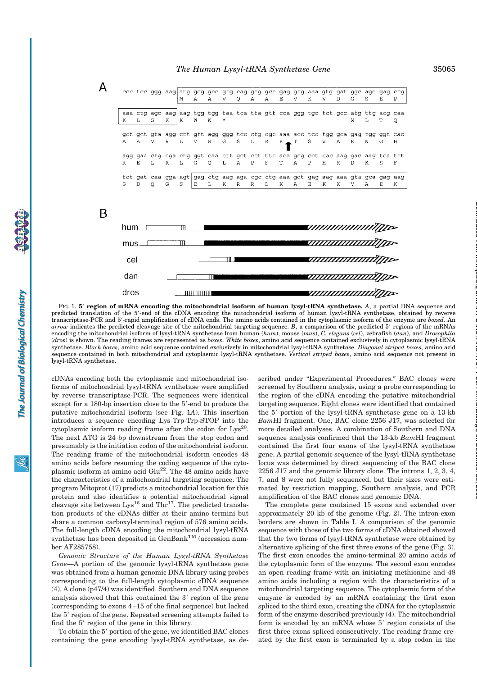$\overline{A}$ 

B

|          |    |         |              | M | A | $\mathbb{A}$ | v  | $\circ$      | Α            | eee tee ggg aag atg geg gee gtg eag geg gee gag gtg aaa gtg gat gge age gag eeg<br>Α            | E            | V | K            | V | $\mathbb{D}$   | G                  | S            | E.          | Ρ       |
|----------|----|---------|--------------|---|---|--------------|----|--------------|--------------|-------------------------------------------------------------------------------------------------|--------------|---|--------------|---|----------------|--------------------|--------------|-------------|---------|
| к        | L  | S       | K            | K | W | W            | *  |              |              | aaa ctg agc aag aag tgg tgg taa tca tta gtt cca ggg tgc tct gcc atg ttg acg caa                 |              |   |              |   |                | M                  | $T_{\perp}$  | T           | $\circ$ |
| A        | A  | v       | R            | L | V | $\mathbb{R}$ | G  | S            | L            | get get gta agg ett gtt agg ggg tee etg ege aaa aee tee tgg gea gag tgg ggt eae<br>$\mathbb{R}$ | $K$ $\sim$ T |   | S            | W | $\overline{A}$ | E.                 | W            | G           | Н       |
| R        | Е. | T.      | $\mathbb{R}$ | L | G | $\circ$      | L  | $\mathbf{A}$ | $\, {\bf P}$ | agg gaa ctg cga ctg ggt caa ctt gct cct ttc aca gcg cct cac aag gac aag tca ttt<br>$\rm F$      | T            | Α | $\mathbf{P}$ | H | К              | $\mathbf{D}$       | к            | S           | F       |
| S        | D  | $\circ$ | G            | S | Ε | L.           | К  | R            | $\mathbb{R}$ | tet gat caa gga agt gag etg aag aga ege etg aaa get gag aag aaa gta gea gag aag<br>L            | K            | Α | Ε            | K | K              | V                  | $\mathbb{A}$ | E           | К       |
|          |    |         |              |   |   |              |    |              |              |                                                                                                 |              |   |              |   |                |                    |              |             |         |
| hum $\_$ |    |         |              | m |   |              |    |              |              |                                                                                                 |              |   |              |   |                |                    |              | ayyuunuunuu |         |
| mus      |    |         |              | m |   |              |    |              |              |                                                                                                 |              |   |              |   |                | 44444444444        |              |             |         |
| cel      |    |         |              |   |   |              | 18 |              |              |                                                                                                 |              |   |              |   |                |                    | annonomoj    |             |         |
| dan      |    |         |              |   |   |              |    |              |              |                                                                                                 |              |   |              |   |                | ,,,,,,,,,,,,,,,,,, |              |             |         |
| dros     |    |         |              |   |   |              |    |              |              |                                                                                                 |              |   |              |   |                | ,,,,,,,,,,,,,,,,,  |              |             |         |

FIG. 1. **5**! **region of mRNA encoding the mitochondrial isoform of human lysyl-tRNA synthetase.** *A*, a partial DNA sequence and predicted translation of the 5'-end of the cDNA encoding the mitochondrial isoform of human lysyl-tRNA synthetase, obtained by reverse transcriptase-PCR and 5!-rapid amplification of cDNA ends. The amino acids contained in the cytoplasmic isoform of the enzyme are *boxed*. An *arrow* indicates the predicted cleavage site of the mitochondrial targeting sequence. *B*, a comparison of the predicted 5! regions of the mRNAs encoding the mitochondrial isoform of lysyl-tRNA synthetase from human (*hum*), mouse (*mus*), *C. elegans* (*cel*), zebrafish (*dan*), and *Drosophila* (*dros*) is shown. The reading frames are represented as *boxes*. *White boxes*, amino acid sequence contained exclusively in cytoplasmic lysyl-tRNA synthetase. *Black boxes*, amino acid sequence contained exclusively in mitochondrial lysyl-tRNA synthetase. *Diagonal striped boxes*, amino acid sequence contained in both mitochondrial and cytoplasmic lysyl-tRNA synthetase. *Vertical striped boxes*, amino acid sequence not present in lysyl-tRNA synthetase.

cDNAs encoding both the cytoplasmic and mitochondrial isoforms of mitochondrial lysyl-tRNA synthetase were amplified by reverse transcriptase-PCR. The sequences were identical except for a 180-bp insertion close to the 5'-end to produce the putative mitochondrial isoform (see Fig. 1*A*). This insertion introduces a sequence encoding Lys-Trp-Trp-STOP into the cytoplasmic isoform reading frame after the codon for  $Lys^{20}$ . The next ATG is 24 bp downstream from the stop codon and presumably is the initiation codon of the mitochondrial isoform. The reading frame of the mitochondrial isoform encodes 48 amino acids before resuming the coding sequence of the cytoplasmic isoform at amino acid Glu<sup>22</sup>. The 48 amino acids have the characteristics of a mitochondrial targeting sequence. The program Mitoprot (17) predicts a mitochondrial location for this protein and also identifies a potential mitochondrial signal cleavage site between  $Lys^{16}$  and Thr<sup>17</sup>. The predicted translation products of the cDNAs differ at their amino termini but share a common carboxyl-terminal region of 576 amino acids. The full-length cDNA encoding the mitochondrial lysyl-tRNA synthetase has been deposited in GenBank<sup>TM</sup> (accession number AF285758).

*Genomic Structure of the Human Lysyl-tRNA Synthetase Gene—*A portion of the genomic lysyl-tRNA synthetase gene was obtained from a human genomic DNA library using probes corresponding to the full-length cytoplasmic cDNA sequence (4). A clone (p47/4) was identified. Southern and DNA sequence analysis showed that this contained the 3' region of the gene (corresponding to exons 4–15 of the final sequence) but lacked the 5' region of the gene. Repeated screening attempts failed to find the 5' region of the gene in this library.

To obtain the 5' portion of the gene, we identified BAC clones containing the gene encoding lysyl-tRNA synthetase, as described under "Experimental Procedures." BAC clones were screened by Southern analysis, using a probe corresponding to the region of the cDNA encoding the putative mitochondrial targeting sequence. Eight clones were identified that contained the  $5'$  portion of the lysyl-tRNA synthetase gene on a 13-kb *Bam*HI fragment. One, BAC clone 2256 J17, was selected for more detailed analyses. A combination of Southern and DNA sequence analysis confirmed that the 13-kb *Bam*HI fragment contained the first four exons of the lysyl-tRNA synthetase gene. A partial genomic sequence of the lysyl-tRNA synthetase locus was determined by direct sequencing of the BAC clone 2256 J17 and the genomic library clone. The introns 1, 2, 3, 4, 7, and 8 were not fully sequenced, but their sizes were estimated by restriction mapping, Southern analysis, and PCR amplification of the BAC clones and genomic DNA.

The complete gene contained 15 exons and extended over approximately 20 kb of the genome (Fig. 2). The intron-exon borders are shown in Table I. A comparison of the genomic sequence with those of the two forms of cDNA obtained showed that the two forms of lysyl-tRNA synthetase were obtained by alternative splicing of the first three exons of the gene (Fig. 3). The first exon encodes the amino-terminal 20 amino acids of the cytoplasmic form of the enzyme. The second exon encodes an open reading frame with an initiating methionine and 48 amino acids including a region with the characteristics of a mitochondrial targeting sequence. The cytoplasmic form of the enzyme is encoded by an mRNA containing the first exon spliced to the third exon, creating the cDNA for the cytoplasmic form of the enzyme described previously (4). The mitochondrial form is encoded by an mRNA whose 5' region consists of the first three exons spliced consecutively. The reading frame created by the first exon is terminated by a stop codon in the at MAX PLANCK INSTITUT FUeR Immunbiologie on December 20, 2006 www.jbc.org Downloaded from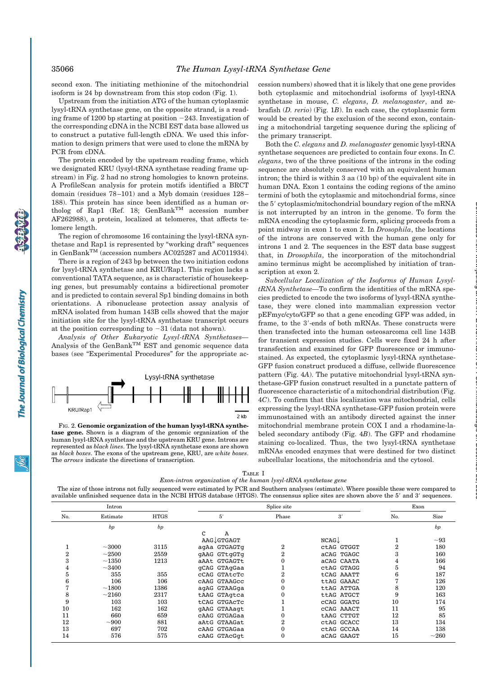second exon. The initiating methionine of the mitochondrial isoform is 24 bp downstream from this stop codon (Fig. 1).

Upstream from the initiation ATG of the human cytoplasmic lysyl-tRNA synthetase gene, on the opposite strand, is a reading frame of 1200 bp starting at position  $-243$ . Investigation of the corresponding cDNA in the NCBI EST data base allowed us to construct a putative full-length cDNA. We used this information to design primers that were used to clone the mRNA by PCR from cDNA.

The protein encoded by the upstream reading frame, which we designated KRU (lysyl-tRNA synthetase reading frame upstream) in Fig. 2 had no strong homologies to known proteins. A ProfileScan analysis for protein motifs identified a BRCT domain (residues 78–101) and a Myb domain (residues 128– 188). This protein has since been identified as a human ortholog of Rap1 (Ref. 18; GenBankTM accession number AF262988), a protein, localized at telomeres, that affects telomere length.

The region of chromosome 16 containing the lysyl-tRNA synthetase and Rap1 is represented by "working draft" sequences in GenBankTM (accession numbers AC025287 and AC011934).

There is a region of 243 bp between the two initiation codons for lysyl-tRNA synthetase and KRU/Rap1. This region lacks a conventional TATA sequence, as is characteristic of housekeeping genes, but presumably contains a bidirectional promoter and is predicted to contain several Sp1 binding domains in both orientations. A ribonuclease protection assay analysis of mRNA isolated from human 143B cells showed that the major initiation site for the lysyl-tRNA synthetase transcript occurs at the position corresponding to  $-31$  (data not shown).

*Analysis of Other Eukaryotic Lysyl-tRNA Synthetases—* Analysis of the GenBankTM EST and genomic sequence data bases (see "Experimental Procedures" for the appropriate ac-



FIG. 2. **Genomic organization of the human lysyl-tRNA synthetase gene.** Shown is a diagram of the genomic organization of the human lysyl-tRNA synthetase and the upstream KRU gene. Introns are represented as *black lines*. The lysyl-tRNA synthetase exons are shown as *black boxes*. The exons of the upstream gene, KRU, are *white boxes*. The *arrows* indicate the directions of transcription.

cession numbers) showed that it is likely that one gene provides both cytoplasmic and mitochondrial isoforms of lysyl-tRNA synthetase in mouse, *C. elegans*, *D. melanogaster*, and zebrafish (*D. rerio*) (Fig. 1*B*). In each case, the cytoplasmic form would be created by the exclusion of the second exon, containing a mitochondrial targeting sequence during the splicing of the primary transcript.

Both the *C. elegans* and *D. melanogaster* genomic lysyl-tRNA synthetase sequences are predicted to contain four exons. In *C. elegans*, two of the three positions of the introns in the coding sequence are absolutely conserved with an equivalent human intron; the third is within 3 aa (10 bp) of the equivalent site in human DNA. Exon 1 contains the coding regions of the amino termini of both the cytoplasmic and mitochondrial forms, since the 5' cytoplasmic/mitochondrial boundary region of the mRNA is not interrupted by an intron in the genome. To form the mRNA encoding the cytoplasmic form, splicing proceeds from a point midway in exon 1 to exon 2. In *Drosophila*, the locations of the introns are conserved with the human gene only for introns 1 and 2. The sequences in the EST data base suggest that, in *Drosophila*, the incorporation of the mitochondrial amino terminus might be accomplished by initiation of transcription at exon 2.

*Subcellular Localization of the Isoforms of Human LysyltRNA Synthetase—*To confirm the identities of the mRNA species predicted to encode the two isoforms of lysyl-tRNA synthetase, they were cloned into mammalian expression vector pEFmyc/cyto/GFP so that a gene encoding GFP was added, in frame, to the 3'-ends of both mRNAs. These constructs were then transfected into the human osteosarcoma cell line 143B for transient expression studies. Cells were fixed 24 h after transfection and examined for GFP fluorescence or immunostained. As expected, the cytoplasmic lysyl-tRNA synthetase-GFP fusion construct produced a diffuse, cellwide fluorescence pattern (Fig. 4*A*). The putative mitochondrial lysyl-tRNA synthetase-GFP fusion construct resulted in a punctate pattern of fluorescence characteristic of a mitochondrial distribution (Fig. 4*C*). To confirm that this localization was mitochondrial, cells expressing the lysyl-tRNA synthetase-GFP fusion protein were immunostained with an antibody directed against the inner mitochondrial membrane protein COX I and a rhodamine-labeled secondary antibody (Fig. 4*B*). The GFP and rhodamine staining co-localized. Thus, the two lysyl-tRNA synthetase mRNAs encoded enzymes that were destined for two distinct subcellular locations, the mitochondria and the cytosol.

at MAX PLANCK INSTITUT FUeR Immunbiologie on December 20, 2006 www.jbc.org Downloaded from

The Journal of Biological Chemistry

| L'ABLE        |  |
|---------------|--|
| human<br>th o |  |

*Exon-intron organization of the human lysyl-tRNA synthetase gene*

The size of those introns not fully sequenced were estimated by PCR and Southern analyses (estimate). Where possible these were compared to available unfinished sequence data in the NCBI HTGS database (HTGS). The consensus splice sites are shown above the 5' and 3' sequences.

|     | Intron         |             |                     | Exon         |            |                |            |
|-----|----------------|-------------|---------------------|--------------|------------|----------------|------------|
| No. | Estimate       | <b>HTGS</b> | 5'                  | Phase        | 3'         | No.            | Size       |
|     | bp             | bp          |                     |              |            |                | bp         |
|     |                |             | C<br>A              |              |            |                |            |
|     |                |             | AAG↓GTGAGT          |              | NCAG       |                | ~1         |
|     | $~1 - 3000$    | 3115        | agAa GTGAGTg        | $\mathbf{2}$ | CtAG GTGGT | $\overline{2}$ | 180        |
| 2   | $\sim\!\!2500$ | 2559        | <b>GAAG GTtgGTg</b> |              | aCAG TGAGC | 3              | 160        |
| 3   | $\sim\!1350$   | 1213        | aAAt GTGAGTt        |              | aCAG CAATA | 4              | 166        |
| 4   | $\sim$ 3400    |             | qCAG GTAqGaa        |              | CtAG GTAGG | 5              | 94         |
| 5   | 355            | 355         | CCAG GTAtcTc        |              | tCAG AAATT | 6              | 187        |
| 6   | 106            | 106         | CAAG GTAAGCC        |              | ttAG GAAAC |                | 126        |
|     | $\sim$ 1800    | 1386        | agAG GTAAGga        |              | ttAG ATTGA | 8              | 120        |
| 8   | ${\sim}2160$   | 2317        | tAAG GTAqtca        |              | ttAG ATGCT | 9              | 163        |
| 9   | 103            | 103         | tCAG GTGACTC        |              | CCAG GGATG | 10             | 174        |
| 10  | 162            | 162         | gAAG GTAAagt        |              | CCAG AAACT | 11             | 95         |
| 11  | 660            | 659         | CAAG GTGAGaa        |              | tAAG CTTGT | 12             | 85         |
| 12  | $\sim$ 900     | 881         | aAtG GTAAGat        |              | ctAG GCACC | 13             | 134        |
| 13  | 697            | 702         | CAAG GTGAGaa        |              | ctAG GCCAA | 14             | 138        |
| 14  | 576            | 575         | CAAG GTACGqt        |              | aCAG GAAGT | 15             | $\sim$ 260 |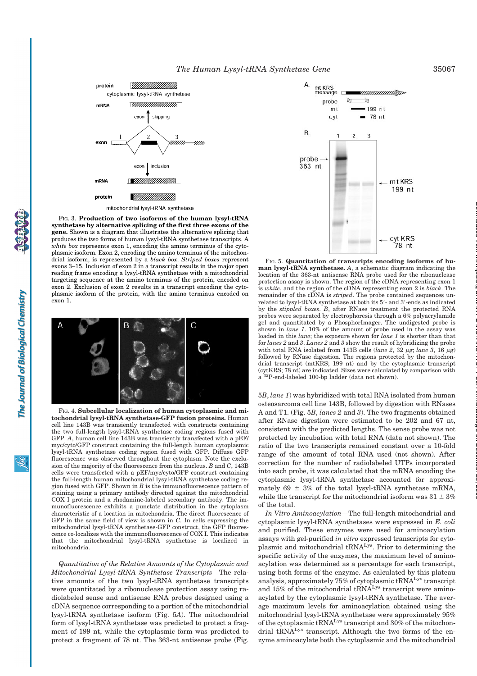

FIG. 3. **Production of two isoforms of the human lysyl-tRNA synthetase by alternative splicing of the first three exons of the gene.** Shown is a diagram that illustrates the alternative splicing that produces the two forms of human lysyl-tRNA synthetase transcripts. A *white box* represents exon 1, encoding the amino terminus of the cytoplasmic isoform. Exon 2, encoding the amino terminus of the mitochondrial isoform, is represented by a *black box*. *Striped boxes* represent exons 3–15. Inclusion of exon 2 in a transcript results in the major open reading frame encoding a lysyl-tRNA synthetase with a mitochondrial targeting sequence at the amino terminus of the protein, encoded on exon 2. Exclusion of exon 2 results in a transcript encoding the cytoplasmic isoform of the protein, with the amino terminus encoded on exon 1.



FIG. 4. **Subcellular localization of human cytoplasmic and mitochondrial lysyl-tRNA synthetase-GFP fusion proteins.** Human cell line 143B was transiently transfected with constructs containing the two full-length lysyl-tRNA synthetase coding regions fused with GFP. *A*, human cell line 143B was transiently transfected with a pEF/ myc/cyto/GFP construct containing the full-length human cytoplasmic lysyl-tRNA synthetase coding region fused with GFP. Diffuse GFP fluorescence was observed throughout the cytoplasm. Note the exclusion of the majority of the fluorescence from the nucleus. *B* and *C*, 143B cells were transfected with a pEF/myc/cyto/GFP construct containing the full-length human mitochondrial lysyl-tRNA synthetase coding region fused with GFP. Shown in *B* is the immunofluorescence pattern of staining using a primary antibody directed against the mitochondrial COX I protein and a rhodamine-labeled secondary antibody. The immunofluorescence exhibits a punctate distribution in the cytoplasm characteristic of a location in mitochondria. The direct fluorescence of GFP in the same field of view is shown in *C*. In cells expressing the mitochondrial lysyl-tRNA synthetase-GFP construct, the GFP fluorescence co-localizes with the immunofluorescence of COX I. This indicates that the mitochondrial lysyl-tRNA synthetase is localized in mitochondria.

*Quantitation of the Relative Amounts of the Cytoplasmic and Mitochondrial Lysyl-tRNA Synthetase Transcripts—*The relative amounts of the two lysyl-tRNA synthetase transcripts were quantitated by a ribonuclease protection assay using radiolabeled sense and antisense RNA probes designed using a cDNA sequence corresponding to a portion of the mitochondrial lysyl-tRNA synthetase isoform (Fig. 5*A*). The mitochondrial form of lysyl-tRNA synthetase was predicted to protect a fragment of 199 nt, while the cytoplasmic form was predicted to protect a fragment of 78 nt. The 363-nt antisense probe (Fig.



FIG. 5. **Quantitation of transcripts encoding isoforms of human lysyl-tRNA synthetase.** *A*, a schematic diagram indicating the location of the 363-nt antisense RNA probe used for the ribonuclease protection assay is shown. The region of the cDNA representing exon 1 is *white*, and the region of the cDNA representing exon 2 is *black*. The remainder of the cDNA is *striped*. The probe contained sequences unrelated to lysyl-tRNA synthetase at both its 5'- and 3'-ends as indicated by the *stippled boxes*. *B*, after RNase treatment the protected RNA probes were separated by electrophoresis through a 6% polyacrylamide gel and quantitated by a PhosphorImager. The undigested probe is shown in *lane 1*. 10% of the amount of probe used in the assay was loaded in this *lane*; the exposure shown for *lane 1* is shorter than that for *lanes 2* and *3*. *Lanes 2* and *3* show the result of hybridizing the probe with total RNA isolated from 143B cells ( $\text{lane } 2$ , 32  $\mu$ g;  $\text{lane } 3$ , 16  $\mu$ g) followed by RNase digestion. The regions protected by the mitochondrial transcript (mtKRS; 199 nt) and by the cytoplasmic transcript (cytKRS; 78 nt) are indicated. Sizes were calculated by comparison with a 32P-end-labeled 100-bp ladder (data not shown).

5*B*, *lane 1*) was hybridized with total RNA isolated from human osteosarcoma cell line 143B, followed by digestion with RNases A and T1. (Fig. 5*B*, *lanes 2* and *3*). The two fragments obtained after RNase digestion were estimated to be 202 and 67 nt, consistent with the predicted lengths. The sense probe was not protected by incubation with total RNA (data not shown). The ratio of the two transcripts remained constant over a 10-fold range of the amount of total RNA used (not shown). After correction for the number of radiolabeled UTPs incorporated into each probe, it was calculated that the mRNA encoding the cytoplasmic lysyl-tRNA synthetase accounted for approximately 69  $\pm$  3% of the total lysyl-tRNA synthetase mRNA, while the transcript for the mitochondrial isoform was  $31 \pm 3\%$ of the total.

*In Vitro Aminoacylation—*The full-length mitochondrial and cytoplasmic lysyl-tRNA synthetases were expressed in *E. coli* and purified. These enzymes were used for aminoacylation assays with gel-purified *in vitro* expressed transcripts for cytoplasmic and mitochondrial tRNALys. Prior to determining the specific activity of the enzymes, the maximum level of aminoacylation was determined as a percentage for each transcript, using both forms of the enzyme. As calculated by this plateau analysis, approximately 75% of cytoplasmic tRNALys transcript and 15% of the mitochondrial tRNALys transcript were aminoacylated by the cytoplasmic lysyl-tRNA synthetase. The average maximum levels for aminoacylation obtained using the mitochondrial lysyl-tRNA synthetase were approximately 95% of the cytoplasmic tRNALys transcript and 30% of the mitochondrial tRNALys transcript. Although the two forms of the enzyme aminoacylate both the cytoplasmic and the mitochondrial at MAX PLANCK INSTITUT FUeR Immunbiologie on December 20, 2006 www.jbc.org Downloaded from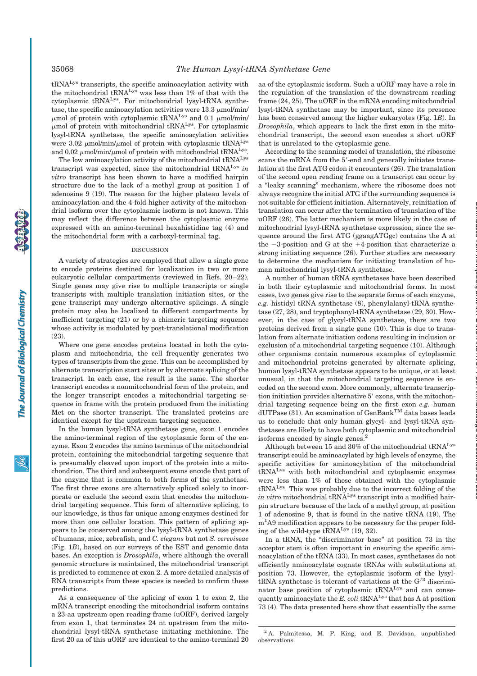The Journal of Biological Chemistry

tRNALys transcripts, the specific aminoacylation activity with the mitochondrial tRNALys was less than 1% of that with the cytoplasmic tRNALys. For mitochondrial lysyl-tRNA synthetase, the specific aminoacylation activities were  $13.3 \mu$ mol/min/  $\mu$ mol of protein with cytoplasmic tRNA<sup>Lys</sup> and 0.1  $\mu$ mol/min/  $\mu$ mol of protein with mitochondrial tRNA<sup>Lys</sup>. For cytoplasmic lysyl-tRNA synthetase, the specific aminoacylation activities were 3.02  $\mu$ mol/min/ $\mu$ mol of protein with cytoplasmic tRNA<sup>Lys</sup> and 0.02  $\mu$ mol/min/ $\mu$ mol of protein with mitochondrial tRNA<sup>Lys</sup>.

The low aminoacylation activity of the mitochondrial tRNALys transcript was expected, since the mitochondrial tRNALys *in vitro* transcript has been shown to have a modified hairpin structure due to the lack of a methyl group at position 1 of adenosine 9 (19). The reason for the higher plateau levels of aminoacylation and the 4-fold higher activity of the mitochondrial isoform over the cytoplasmic isoform is not known. This may reflect the difference between the cytoplasmic enzyme expressed with an amino-terminal hexahistidine tag (4) and the mitochondrial form with a carboxyl-terminal tag.

## DISCUSSION

A variety of strategies are employed that allow a single gene to encode proteins destined for localization in two or more eukaryotic cellular compartments (reviewed in Refs. 20–22). Single genes may give rise to multiple transcripts or single transcripts with multiple translation initiation sites, or the gene transcript may undergo alternative splicings. A single protein may also be localized to different compartments by inefficient targeting (21) or by a chimeric targeting sequence whose activity is modulated by post-translational modification  $(23)$ 

Where one gene encodes proteins located in both the cytoplasm and mitochondria, the cell frequently generates two types of transcripts from the gene. This can be accomplished by alternate transcription start sites or by alternate splicing of the transcript. In each case, the result is the same. The shorter transcript encodes a nonmitochondrial form of the protein, and the longer transcript encodes a mitochondrial targeting sequence in frame with the protein produced from the initiating Met on the shorter transcript. The translated proteins are identical except for the upstream targeting sequence.

In the human lysyl-tRNA synthetase gene, exon 1 encodes the amino-terminal region of the cytoplasmic form of the enzyme. Exon 2 encodes the amino terminus of the mitochondrial protein, containing the mitochondrial targeting sequence that is presumably cleaved upon import of the protein into a mitochondrion. The third and subsequent exons encode that part of the enzyme that is common to both forms of the synthetase. The first three exons are alternatively spliced solely to incorporate or exclude the second exon that encodes the mitochondrial targeting sequence. This form of alternative splicing, to our knowledge, is thus far unique among enzymes destined for more than one cellular location. This pattern of splicing appears to be conserved among the lysyl-tRNA synthetase genes of humans, mice, zebrafish, and *C. elegans* but not *S. cereviseae* (Fig. 1*B*), based on our surveys of the EST and genomic data bases. An exception is *Drosophila*, where although the overall genomic structure is maintained, the mitochondrial transcript is predicted to commence at exon 2. A more detailed analysis of RNA transcripts from these species is needed to confirm these predictions.

As a consequence of the splicing of exon 1 to exon 2, the mRNA transcript encoding the mitochondrial isoform contains a 23-aa upstream open reading frame (uORF), derived largely from exon 1, that terminates 24 nt upstream from the mitochondrial lysyl-tRNA synthetase initiating methionine. The first 20 aa of this uORF are identical to the amino-terminal 20 aa of the cytoplasmic isoform. Such a uORF may have a role in the regulation of the translation of the downstream reading frame (24, 25). The uORF in the mRNA encoding mitochondrial lysyl-tRNA synthetase may be important, since its presence has been conserved among the higher eukaryotes (Fig. 1*B*). In *Drosophila*, which appears to lack the first exon in the mitochondrial transcript, the second exon encodes a short uORF that is unrelated to the cytoplasmic gene.

According to the scanning model of translation, the ribosome scans the mRNA from the 5'-end and generally initiates translation at the first ATG codon it encounters (26). The translation of the second open reading frame on a transcript can occur by a "leaky scanning" mechanism, where the ribosome does not always recognize the initial ATG if the surrounding sequence is not suitable for efficient initiation. Alternatively, reinitiation of translation can occur after the termination of translation of the uORF (26). The latter mechanism is more likely in the case of mitochondrial lysyl-tRNA synthetase expression, since the sequence around the first ATG (ggaagATGgc) contains the A at the  $-3$ -position and G at the  $+4$ -position that characterize a strong initiating sequence (26). Further studies are necessary to determine the mechanism for initiating translation of human mitochondrial lysyl-tRNA synthetase.

A number of human tRNA synthetases have been described in both their cytoplasmic and mitochondrial forms. In most cases, two genes give rise to the separate forms of each enzyme, *e.g.* histidyl tRNA synthetase (8), phenylalanyl-tRNA synthetase (27, 28), and tryptophanyl-tRNA synthetase (29, 30). However, in the case of glycyl-tRNA synthetase, there are two proteins derived from a single gene (10). This is due to translation from alternate initiation codons resulting in inclusion or exclusion of a mitochondrial targeting sequence (10). Although other organisms contain numerous examples of cytoplasmic and mitochondrial proteins generated by alternate splicing, human lysyl-tRNA synthetase appears to be unique, or at least unusual, in that the mitochondrial targeting sequence is encoded on the second exon. More commonly, alternate transcription initiation provides alternative 5' exons, with the mitochondrial targeting sequence being on the first exon *e.g.* human  $\operatorname{dUTPase}$  (31). An examination of  $\operatorname{GenBank}^{\rm TM}$  data bases leads us to conclude that only human glycyl- and lysyl-tRNA synthetases are likely to have both cytoplasmic and mitochondrial isoforms encoded by single genes.<sup>2</sup>

Although between 15 and 30% of the mitochondrial tRNALys transcript could be aminoacylated by high levels of enzyme, the specific activities for aminoacylation of the mitochondrial tRNALys with both mitochondrial and cytoplasmic enzymes were less than 1% of those obtained with the cytoplasmic tRNALys. This was probably due to the incorrect folding of the *in vitro* mitochondrial tRNA<sup>Lys</sup> transcript into a modified hairpin structure because of the lack of a methyl group, at position 1 of adenosine 9, that is found in the native tRNA (19). The m<sup>1</sup>A9 modification appears to be necessary for the proper folding of the wild-type  $tRNA<sup>Lys</sup>$  (19, 32).

In a tRNA, the "discriminator base" at position 73 in the acceptor stem is often important in ensuring the specific aminoacylation of the tRNA (33). In most cases, synthetases do not efficiently aminoacylate cognate tRNAs with substitutions at position 73. However, the cytoplasmic isoform of the lysyltRNA synthetase is tolerant of variations at the G<sup>73</sup> discriminator base position of cytoplasmic tRNA<sup>Lys</sup> and can consequently aminoacylate the  $E$ ,  $\text{coli}$  tRNA<sup>Lys</sup> that has A at position 73 (4). The data presented here show that essentially the same

<sup>2</sup> A. Palmitessa, M. P. King, and E. Davidson, unpublished observations.